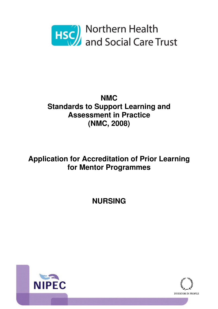

# **NMC Standards to Support Learning and Assessment in Practice (NMC, 2008)**

# **Application for Accreditation of Prior Learning for Mentor Programmes**

# **NURSING**



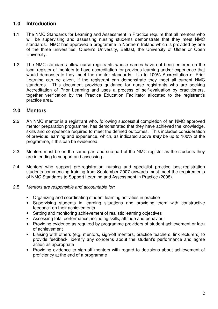# **1.0 Introduction**

- 1.1 The NMC Standards for Learning and Assessment in Practice require that all mentors who will be supervising and assessing nursing students demonstrate that they meet NMC standards. NMC has approved a programme in Northern Ireland which is provided by one of the three universities, Queen's University, Belfast, the University of Ulster or Open University.
- 1.2 The NMC standards allow nurse registrants whose names have not been entered on the local register of mentors to have accreditation for previous learning and/or experience that would demonstrate they meet the mentor standards. Up to 100% Accreditation of Prior Learning can be given, if the registrant can demonstrate they meet all current NMC standards. This document provides guidance for nurse registrants who are seeking Accreditation of Prior Learning and uses a process of self-evaluation by practitioners, together verification by the Practice Education Facilitator allocated to the registrant's practice area.

## **2.0 Mentors**

- 2.2 An NMC mentor is a registrant who, following successful completion of an NMC approved mentor preparation programme, has demonstrated that they have achieved the knowledge, skills and competence required to meet the defined outcomes. This includes consideration of previous learning and experience, which, as indicated above **may** be up to 100% of the programme, if this can be evidenced.
- 2.3 Mentors must be on the same part and sub-part of the NMC register as the students they are intending to support and assessing.
- 2.4 Mentors who support pre-registration nursing and specialist practice post-registration students commencing training from September 2007 onwards must meet the requirements of NMC Standards to Support Learning and Assessment in Practice (2008).
- 2.5 Mentors are responsible and accountable for:
	- Organizing and coordinating student learning activities in practice
	- Supervising students in learning situations and providing them with constructive feedback on their achievements
	- Setting and monitoring achievement of realistic learning objectives
	- Assessing total performance; including skills, attitude and behaviour
	- Providing evidence as required by programme providers of student achievement or lack of achievement
	- Liaising with others (e.g. mentors, sign-off mentors, practice teachers, link lecturers) to provide feedback, identify any concerns about the student's performance and agree action as appropriate
	- Providing evidence to sign-off mentors with regard to decisions about achievement of proficiency at the end of a programme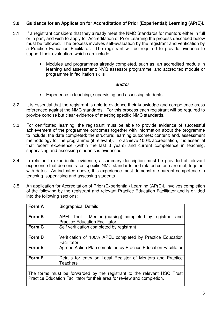## **3.0 Guidance for an Application for Accreditation of Prior (Experiential) Learning (AP(E)L**

- 3.1 If a registrant considers that they already meet the NMC Standards for mentors either in full or in part, and wish to apply for Accreditation of Prior Learning the process described below must be followed. The process involves self-evaluation by the registrant and verification by a Practice Education Facilitator. The registrant will be required to provide evidence to support their evaluation, which can include:
	- Modules and programmes already completed, such as: an accredited module in learning and assessment; NVQ assessor programme; and accredited module or programme in facilitation skills

#### **and/or**

- Experience in teaching, supervising and assessing students
- 3.2 It is essential that the registrant is able to evidence their knowledge and competence cross referenced against the NMC standards. For this process each registrant will be required to provide concise but clear evidence of meeting specific NMC standards.
- 3.3 For certificated learning, the registrant must be able to provide evidence of successful achievement of the programme outcomes together with information about the programme to include: the date completed; the structure; learning outcomes; content; and, assessment methodology for the programme (if relevant). To achieve 100% accreditation, it is essential that recent experience (within the last 3 years) and current competence in teaching, supervising and assessing students is evidenced.
- 3.4 In relation to experiential evidence, a summary description must be provided of relevant experience that demonstrates specific NMC standards and related criteria are met, together with dates. As indicated above, this experience must demonstrate current competence in teaching, supervising and assessing students.
- 3.5 An application for Accreditation of Prior (Experiential) Learning (AP(E)L involves completion of the following by the registrant and relevant Practice Education Facilitator and is divided into the following sections;

| Form A | <b>Biographical Details</b>                                              |
|--------|--------------------------------------------------------------------------|
|        |                                                                          |
|        |                                                                          |
| Form B | APEL Tool – Mentor (nursing) completed by registrant and                 |
|        |                                                                          |
|        | <b>Practice Education Facilitator</b>                                    |
| Form C | Self verification completed by registrant                                |
|        |                                                                          |
|        |                                                                          |
| Form D | Verification of 100% APEL completed by Practice Education                |
|        |                                                                          |
|        | Facilitator                                                              |
| Form E | Agreed Action Plan completed by Practice Education Facilitator           |
|        |                                                                          |
|        |                                                                          |
| Form F | Details for entry on Local Register of Mentors and Practice              |
|        |                                                                          |
|        | <b>Teachers</b>                                                          |
|        |                                                                          |
|        |                                                                          |
|        | The forms must be forwarded by the registrant to the relevant HSC Trust  |
|        |                                                                          |
|        | Practice Education Facilitator for their area for review and completion. |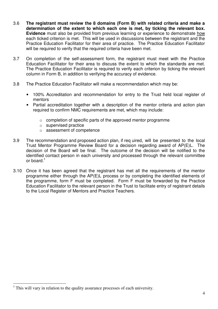- 3.6 **The registrant must review the 8 domains (Form B) with related criteria and make a determination of the extent to which each one is met, by ticking the relevant box. Evidence** must also be provided from previous learning or experience to demonstrate how each ticked criterion is met. This will be used in discussions between the registrant and the Practice Education Facilitator for their area of practice. The Practice Education Facilitator will be required to verify that the required criteria have been met.
- 3.7 On completion of the self-assessment form, the registrant must meet with the Practice Education Facilitator for their area to discuss the extent to which the standards are met. The Practice Education Facilitator is required to verify each criterion by ticking the relevant column in Form B, in addition to verifying the accuracy of evidence.
- 3.8 The Practice Education Facilitator will make a recommendation which may be:
	- 100% Accreditation and recommendation for entry to the Trust held local register of mentors
	- Partial accreditation together with a description of the mentor criteria and action plan required to confirm NMC requirements are met, which may include:
		- o completion of specific parts of the approved mentor programme
		- o supervised practice
		- o assessment of competence
- 3.9 The recommendation and proposed action plan, if req uired, will be presented to the local Trust Mentor Programme Review Board for a decision regarding award of AP(E)L. The decision of the Board will be final. The outcome of the decision will be notified to the identified contact person in each university and processed through the relevant committee or board.<sup>1</sup>
- 3.10 Once it has been agreed that the registrant has met all the requirements of the mentor programme either through the AP(E)L process or by completing the identified elements of the programme, form F must be completed. Form F must be forwarded by the Practice Education Facilitator to the relevant person in the Trust to facilitate entry of registrant details to the Local Register of Mentors and Practice Teachers.

 $\overline{a}$ 

<sup>1</sup> This will vary in relation to the quality assurance processes of each university.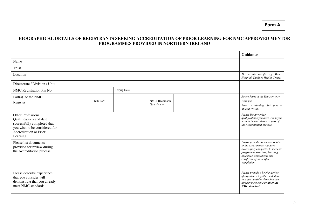#### **BIOGRAPHICAL DETAILS OF REGISTRANTS SEEKING ACCREDITATION OF PRIOR LEARNING FOR NMC APPROVED MENTOR PROGRAMMES PROVIDED IN NORTHERN IRELAND**

|                                                                                                                                                            |          |                    |                                 | Guidance                                                                                                                                                                                                       |
|------------------------------------------------------------------------------------------------------------------------------------------------------------|----------|--------------------|---------------------------------|----------------------------------------------------------------------------------------------------------------------------------------------------------------------------------------------------------------|
| Name                                                                                                                                                       |          |                    |                                 |                                                                                                                                                                                                                |
| Trust                                                                                                                                                      |          |                    |                                 |                                                                                                                                                                                                                |
| Location                                                                                                                                                   |          |                    |                                 | This is site specific e.g. Mater<br>Hospital, Dunluce Health Centre.                                                                                                                                           |
| Directorate / Division / Unit                                                                                                                              |          |                    |                                 |                                                                                                                                                                                                                |
| NMC Registration Pin No.                                                                                                                                   |          | <b>Expiry Date</b> |                                 |                                                                                                                                                                                                                |
| Part $(s)$ of the NMC<br>Register                                                                                                                          | Sub-Part |                    | NMC Recordable<br>Qualification | Active Parts of the Register only<br>Example<br>Part - Nursing, Sub part -<br><b>Mental Health</b>                                                                                                             |
| <b>Other Professional</b><br>Qualifications and date<br>successfully completed that<br>you wish to be considered for<br>Accreditation or Prior<br>Learning |          |                    |                                 | Please list any other<br>qualifications you have which you<br>wish to be considered as part of<br>the Accreditation process.                                                                                   |
| Please list documents<br>provided for review during<br>the Accreditation process                                                                           |          |                    |                                 | Please provide documents related<br>to the programmes you have<br>successfully completed to include:<br>programme structure, learning<br>outcomes, assessment; and<br>certificate of successful<br>completion. |
| Please describe experience<br>that you consider will<br>demonstrate that you already<br>meet NMC standards                                                 |          |                    |                                 | Please provide a brief overview<br>of experience together with dates<br>that you consider show that you<br>already meet some or all of the<br><b>NMC</b> standards.                                            |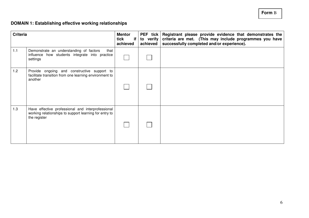#### **Form** B

### **DOMAIN 1: Establishing effective working relationships**

| <b>Criteria</b> |                                                                                                                             | <b>Mentor</b><br>tick<br>if I<br>achieved | to verify<br>achieved | PEF tick Registrant please provide evidence that demonstrates the<br>criteria are met. (This may include programmes you have<br>successfully completed and/or experience). |
|-----------------|-----------------------------------------------------------------------------------------------------------------------------|-------------------------------------------|-----------------------|----------------------------------------------------------------------------------------------------------------------------------------------------------------------------|
| 1.1             | Demonstrate an understanding of factors<br>that<br>influence how students integrate into practice<br>settings               |                                           |                       |                                                                                                                                                                            |
| 1.2             | Provide ongoing and constructive support to<br>facilitate transition from one learning environment to<br>another            |                                           |                       |                                                                                                                                                                            |
| 1.3             | Have effective professional and interprofessional<br>working relationships to support learning for entry to<br>the register |                                           |                       |                                                                                                                                                                            |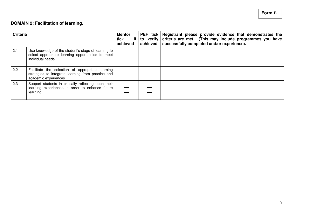## **DOMAIN 2: Facilitation of learning.**

| <b>Criteria</b> |                                                                                                                                | <b>Mentor</b><br>tick<br>if I<br>achieved | achieved | PEF tick   Registrant please provide evidence that demonstrates the<br>to verify criteria are met. (This may include programmes you have<br>successfully completed and/or experience). |
|-----------------|--------------------------------------------------------------------------------------------------------------------------------|-------------------------------------------|----------|----------------------------------------------------------------------------------------------------------------------------------------------------------------------------------------|
| 2.1             | Use knowledge of the student's stage of learning to<br>select appropriate learning opportunities to meet<br>individual needs   |                                           |          |                                                                                                                                                                                        |
| 2.2             | Facilitate the selection of appropriate learning<br>strategies to integrate learning from practice and<br>academic experiences |                                           |          |                                                                                                                                                                                        |
| 2.3             | Support students in critically reflecting upon their<br>learning experiences in order to enhance future<br>learning            |                                           |          |                                                                                                                                                                                        |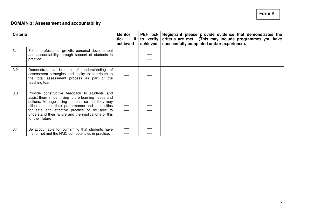**Form** B

## **DOMAIN 3: Assessment and accountability**

| <b>Criteria</b> |                                                                                                                                                                                                                                                                                                                                               | <b>Mentor</b><br>tick<br>if I<br>achieved | to verify<br>achieved | PEF tick Registrant please provide evidence that demonstrates the<br>criteria are met. (This may include programmes you have<br>successfully completed and/or experience). |
|-----------------|-----------------------------------------------------------------------------------------------------------------------------------------------------------------------------------------------------------------------------------------------------------------------------------------------------------------------------------------------|-------------------------------------------|-----------------------|----------------------------------------------------------------------------------------------------------------------------------------------------------------------------|
| 3.1             | Foster professional growth, personal development<br>and accountability through support of students in<br>practice                                                                                                                                                                                                                             |                                           |                       |                                                                                                                                                                            |
| 3.2             | Demonstrate a breadth of understanding of<br>assessment strategies and ability to contribute to<br>the total assessment process as part of the<br>teaching team                                                                                                                                                                               |                                           |                       |                                                                                                                                                                            |
| 3.3             | Provide constructive feedback to students and<br>assist them in identifying future learning needs and<br>actions. Manage failing students so that they may<br>either enhance their performance and capabilities<br>for safe and effective practice or be able to<br>understand their failure and the implications of this<br>for their future |                                           |                       |                                                                                                                                                                            |
| 3.4             | Be accountable for confirming that students have<br>met or not met the NMC competencies in practice.                                                                                                                                                                                                                                          |                                           |                       |                                                                                                                                                                            |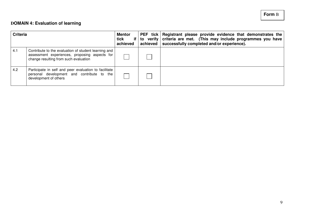## **DOMAIN 4: Evaluation of learning**

| <b>Criteria</b> |                                                                                                                                                | <b>Mentor</b><br>tick<br>achieved | PEF tick   Registrant please provide evidence that demonstrates the<br>if   to verify   criteria are met. (This may include programmes you have<br>achieved   successfully completed and/or experience). |
|-----------------|------------------------------------------------------------------------------------------------------------------------------------------------|-----------------------------------|----------------------------------------------------------------------------------------------------------------------------------------------------------------------------------------------------------|
| 4.1             | Contribute to the evaluation of student learning and<br>assessment experiences, proposing aspects for<br>change resulting from such evaluation |                                   |                                                                                                                                                                                                          |
| 4.2             | Participate in self and peer evaluation to facilitate<br>personal development and contribute to the<br>development of others                   |                                   |                                                                                                                                                                                                          |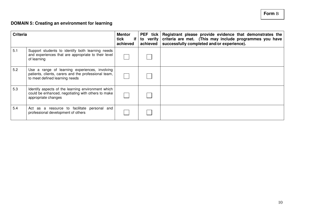# **Form** B

### **DOMAIN 5: Creating an environment for learning**

| <b>Criteria</b> |                                                                                                                                          | <b>Mentor</b><br>tick<br>if I<br>achieved | to verify<br>achieved | PEF tick Registrant please provide evidence that demonstrates the<br>criteria are met. (This may include programmes you have<br>successfully completed and/or experience). |
|-----------------|------------------------------------------------------------------------------------------------------------------------------------------|-------------------------------------------|-----------------------|----------------------------------------------------------------------------------------------------------------------------------------------------------------------------|
| 5.1             | Support students to identify both learning needs<br>and experiences that are appropriate to their level<br>of learning                   |                                           |                       |                                                                                                                                                                            |
| 5.2             | Use a range of learning experiences, involving<br>patients, clients, carers and the professional team,<br>to meet defined learning needs |                                           |                       |                                                                                                                                                                            |
| 5.3             | Identify aspects of the learning environment which<br>could be enhanced, negotiating with others to make<br>appropriate changes          |                                           |                       |                                                                                                                                                                            |
| 5.4             | Act as a resource to facilitate personal and<br>professional development of others                                                       |                                           |                       |                                                                                                                                                                            |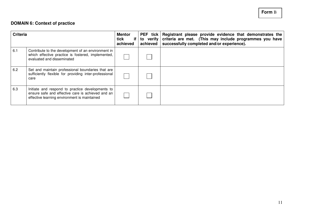## **DOMAIN 6: Context of practice**

| <b>Criteria</b> |                                                                                                                                                       | <b>Mentor</b><br>tick<br>if I<br>achieved | achieved | PEF tick   Registrant please provide evidence that demonstrates the<br>to verify criteria are met. (This may include programmes you have<br>successfully completed and/or experience). |
|-----------------|-------------------------------------------------------------------------------------------------------------------------------------------------------|-------------------------------------------|----------|----------------------------------------------------------------------------------------------------------------------------------------------------------------------------------------|
| 6.1             | Contribute to the development of an environment in<br>which effective practice is fostered, implemented,<br>evaluated and disseminated                |                                           |          |                                                                                                                                                                                        |
| 6.2             | Set and maintain professional boundaries that are<br>sufficiently flexible for providing inter-professional<br>care                                   |                                           |          |                                                                                                                                                                                        |
| 6.3             | Initiate and respond to practice developments to<br>ensure safe and effective care is achieved and an<br>effective learning environment is maintained |                                           |          |                                                                                                                                                                                        |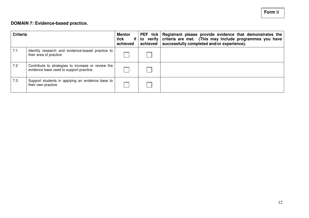## **DOMAIN 7: Evidence-based practice.**

| <b>Criteria</b> |                                                                                              | <b>Mentor</b><br>tick<br>if I<br>achieved | achieved | PEF tick Registrant please provide evidence that demonstrates the<br>to verify criteria are met. (This may include programmes you have<br>successfully completed and/or experience). |
|-----------------|----------------------------------------------------------------------------------------------|-------------------------------------------|----------|--------------------------------------------------------------------------------------------------------------------------------------------------------------------------------------|
| 7.1             | Identify research and evidence-based practice to<br>their area of practice                   |                                           |          |                                                                                                                                                                                      |
| 7.2             | Contribute to strategies to increase or review the<br>evidence base used to support practice |                                           |          |                                                                                                                                                                                      |
| 7.3             | Support students in applying an evidence base to<br>their own practice                       |                                           |          |                                                                                                                                                                                      |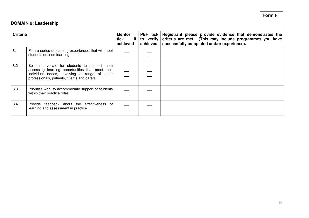## **DOMAIN 8: Leadership**

| <b>Criteria</b> |                                                                                                                                                                                                | <b>Mentor</b><br>tick<br>if I<br>achieved | <b>PEF</b> tick $\vert$<br>to verify<br>achieved | Registrant please provide evidence that demonstrates the<br>criteria are met. (This may include programmes you have<br>successfully completed and/or experience). |
|-----------------|------------------------------------------------------------------------------------------------------------------------------------------------------------------------------------------------|-------------------------------------------|--------------------------------------------------|-------------------------------------------------------------------------------------------------------------------------------------------------------------------|
| 8.1             | Plan a series of learning experiences that will meet<br>students defined learning needs                                                                                                        |                                           |                                                  |                                                                                                                                                                   |
| 8.2             | Be an advocate for students to support them<br>accessing learning opportunities that meet their<br>individual needs, involving a range of other<br>professionals, patients, clients and carers |                                           |                                                  |                                                                                                                                                                   |
| 8.3             | Prioritise work to accommodate support of students<br>within their practice roles                                                                                                              |                                           |                                                  |                                                                                                                                                                   |
| 8.4             | Provide feedback about the effectiveness of<br>learning and assessment in practice                                                                                                             |                                           |                                                  |                                                                                                                                                                   |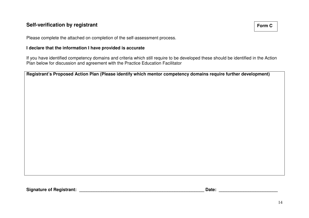## **Self-verification by registrant**

**Form C** 

Please complete the attached on completion of the self-assessment process.

### **I declare that the information I have provided is accurate**

If you have identified competency domains and criteria which still require to be developed these should be identified in the Action Plan below for discussion and agreement with the Practice Education Facilitator

**Registrant's Proposed Action Plan (Please identify which mentor competency domains require further development)**

**Signature of Registrant: \_\_\_\_\_\_\_\_\_\_\_\_\_\_\_\_\_\_\_\_\_\_\_\_\_\_\_\_\_\_\_\_\_\_\_\_\_\_\_\_\_\_\_\_\_\_\_\_\_\_\_ Date: \_\_\_\_\_\_\_\_\_\_\_\_\_\_\_\_\_\_\_\_\_\_\_\_**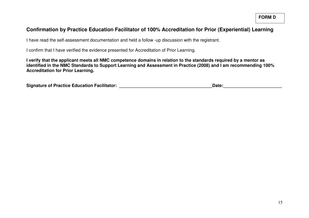**FORM D** 

## **Confirmation by Practice Education Facilitator of 100% Accreditation for Prior (Experiential) Learning**

I have read the self-assessment documentation and held a follow -up discussion with the registrant.

I confirm that I have verified the evidence presented for Accreditation of Prior Learning.

**I verify that the applicant meets all NMC competence domains in relation to the standards required by a mentor as identified in the NMC Standards to Support Learning and Assessment in Practice (2008) and I am recommending 100% Accreditation for Prior Learning.** 

| <b>Signature of Practice Education Facilitator:</b> | Date: |
|-----------------------------------------------------|-------|
|-----------------------------------------------------|-------|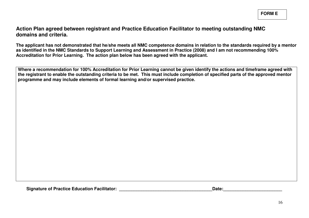**Action Plan agreed between registrant and Practice Education Facilitator to meeting outstanding NMC domains and criteria.**

**The applicant has not demonstrated that he/she meets all NMC competence domains in relation to the standards required by a mentor as identified in the NMC Standards to Support Learning and Assessment in Practice (2008) and I am not recommending 100% Accreditation for Prior Learning. The action plan below has been agreed with the applicant.** 

Where a recommendation for 100% Accreditation for Prior Learning cannot be given identity the actions and timeframe agreed with<br>the registrant to enable the outstanding criteria to be met. This must include completion of s

Signature of Practice Education Facilitator: **Example 2018** 2018 2019 2018: **Date:**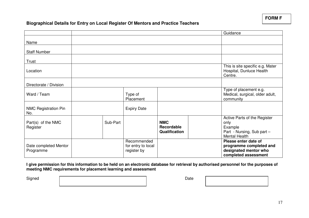**FORM F** 

### **Biographical Details for Entry on Local Register Of Mentors and Practice Teachers**

|                                    |          |                                                  |                                                  | Guidance                                                                                              |
|------------------------------------|----------|--------------------------------------------------|--------------------------------------------------|-------------------------------------------------------------------------------------------------------|
| Name                               |          |                                                  |                                                  |                                                                                                       |
| <b>Staff Number</b>                |          |                                                  |                                                  |                                                                                                       |
| Trust                              |          |                                                  |                                                  |                                                                                                       |
| Location                           |          |                                                  |                                                  | This is site specific e.g. Mater<br>Hospital, Dunluce Health<br>Centre.                               |
| Directorate / Division             |          |                                                  |                                                  |                                                                                                       |
| Ward / Team                        |          | Type of<br>Placement                             |                                                  | Type of placement e.g.<br>Medical, surgical, older adult,<br>community                                |
| <b>NMC Registration Pin</b><br>No. |          | <b>Expiry Date</b>                               |                                                  |                                                                                                       |
| Part(s) of the NMC<br>Register     | Sub-Part |                                                  | <b>NMC</b><br><b>Recordable</b><br>Qualification | Active Parts of the Register<br>only<br>Example<br>Part - Nursing, Sub part -<br><b>Mental Health</b> |
| Date completed Mentor<br>Programme |          | Recommended<br>for entry to local<br>register by |                                                  | Please enter date of<br>programme completed and<br>designated mentor who<br>completed assessment      |

**I give permission for this information to be held on an electronic database for retrieval by authorised personnel for the purposes of meeting NMC requirements for placement learning and assessment** 

Signed Date